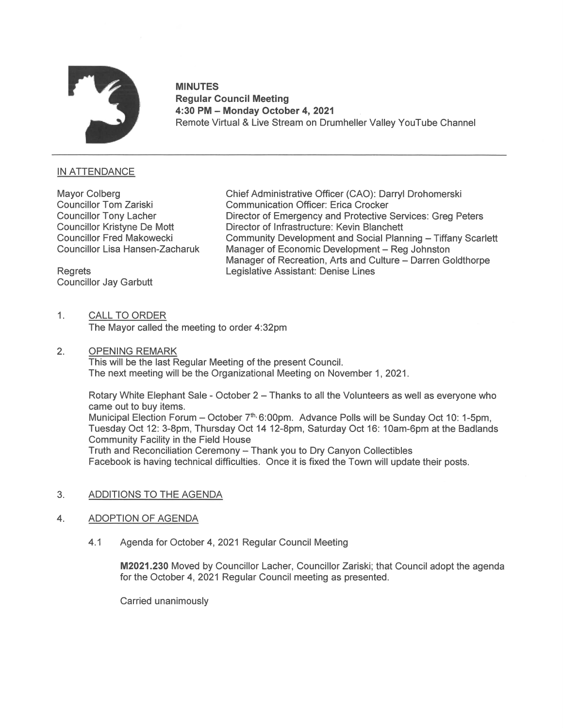

MINUTES **Regular Council Meeting** 4:30 PM - Monday October 4, 2021 Remote Virtual & Live Stream on Drumheller Valley YouTube Channel

# IN ATTENDANCE

Councillor Jay Garbutt

Mayor Colberg Chief Administrative Officer (CAO): Darryl Drohomerski Councillor Tom Zariski Communication Officer: Erica Crocker Councillor Tony Lacher Director of Emergency and Protective Services: Greg Peters Councillor Kristyne De Mott **interpretery** Director of Infrastructure: Kevin Blanchett Councillor Fred Makowecki Community Development and Social Planning — Tiffany Scarlett CouncillorLisa Hansen-Zacharuk Manager of Economic Development — Reg Johnston Manager of Recreation, Arts and Culture — Darren Goldthorpe Regrets Legislative Assistant: Denise Lines

- $1.$ **CALL TO ORDER** The Mayor called the meeting to order 4:32pm
- $2.$ OPENING REMARK

This will be the last Regular Meeting of the present Council. The next meeting will be the Organizational Meeting on November 1, 2021.

Rotary White Elephant Sale - October 2 — Thanks to all the Volunteers as well as everyone who came out to buy items. Municipal Election Forum – October  $7<sup>th</sup>$  6:00pm. Advance Polls will be Sunday Oct 10: 1-5pm, Tuesday Oct 12: 3-8pm, Thursday Oct 14 12-8pm, Saturday Oct 16: 10am-6pm at the Badlands Community Facility in the Field House Truth and Reconciliation Ceremony — Thank you to Dry Canyon Collectibles Facebook is having technical difficulties. Once it is fixed the Town will update their posts.

- $3.$ ADDITIONS TO THE AGENDA
- $4.$ ADOPTION OF AGENDA
	- 4.1 Agenda for October 4, 2021 Regular Council Meeting

M2021.230 Moved by Councillor Lacher, Councillor Zariski; that Council adopt the agenda for the October 4, 2021 Regular Council meeting as presented.

Carried unanimously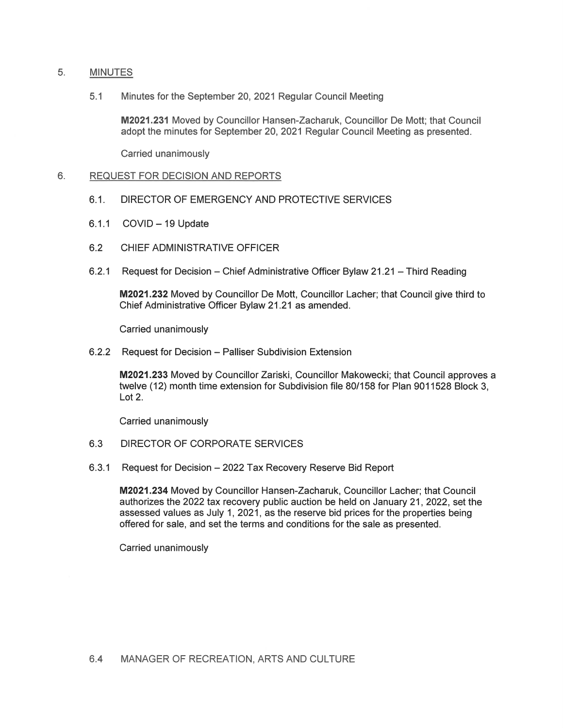## 5. MINUTES

5.1 Minutes for the September 20, 2021 Regular Council Meeting

M2021.231 Moved by Councillor Hansen-Zacharuk, Councillor De Mott; that Council adopt the minutes for September 20, 2021 Regular Council Meeting as presented.

Carried unanimously

## 6. REQUEST FOR DECISION AND REPORTS

- 6.1. DIRECTOR OF EMERGENCY AND PROTECTIVE SERVICES
- $6.1.1$  COVID 19 Update
- 6.2 CHIEF ADMINISTRATIVE OFFICER
- 6.2.1 Request for Decision Chief Administrative Officer Bylaw 21.21 Third Reading

M2021.232 Moved by Councillor De Mott, Councillor Lacher; that Council give third to Chief Administrative Officer Bylaw 21.21 as amended.

Carried unanimously

6.2.2 Request for Decision — Palliser Subdivision Extension

M2021.233 Moved by Councillor Zariski, Councillor Makowecki; that Council approves a twelve (12) month time extension for Subdivision file 80/158 for Plan 9011528 Block 3. Lot 2.

Carried unanimously

- 6.3 DIRECTOR OF CORPORATE SERVICES
- 6.3.1 Request for Decision 2022 Tax Recovery Reserve Bid Report

M2021.234 Moved by Councillor Hansen-Zacharuk, Councillor Lacher; that Council authorizes the 2022 tax recovery public auction be held on January 21, 2022, set the assessed values as July 1, 2021, as the reserve bid prices for the properties being offered for sale, and set the terms and conditions for the sale as presented.

Carried unanimously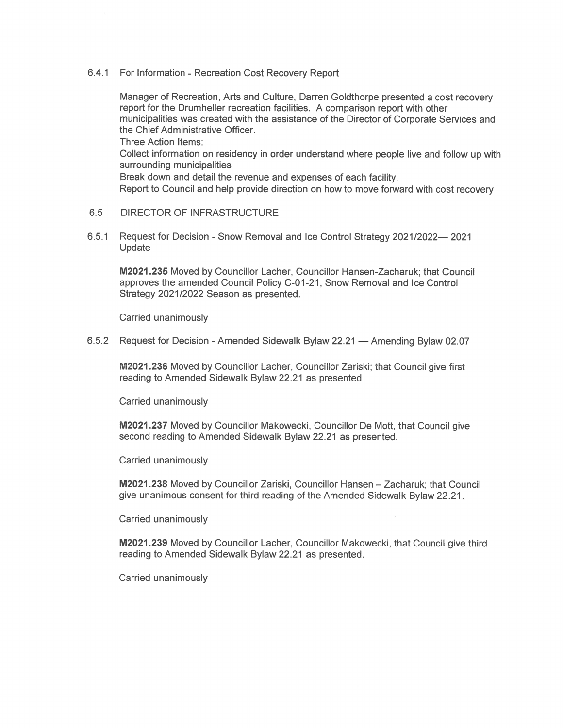6.4.1 For Information - Recreation Cost Recovery Report

Manager of Recreation, Arts and Culture, Darren Goldthorpe presented a cost recovery report for the Drumheller recreation facilities. A comparison report with other municipalities was created with the assistance of the Director of Corporate Services and the Chief Administrative Officer. Three Action Items: Collect information on residency in order understand where people live and follow up wit surrounding municipalities Break down and detail the revenue and expenses of each facility. Report to Council and help provide direction on how to move forward with cost recovery

- 6.5 DIRECTOR OF INFRASTRUCTURE
- 6.5.1 Request for Decision Snow Removal and Ice Control Strategy 2021/2022- 2021 Update

M2021.235 Moved by Councillor Lacher, Councillor Hansen-Zacharuk; that Council approves the amended Council Policy C-O1-21, Snow Removal and Ice Control Strategy 2021/2022 Season as presented.

Carried unanimously

6.5.2 Request for Decision - Amended Sidewalk Bylaw 22.21 — Amending Bylaw 02.07

**M2021.236** Moved by Councillor Lacher, Councillor Zariski; that Council give first reading to Amended Sidewalk Bylaw 22.21 as presented

Carried unanimously

M2021.237 Moved by Councillor Makowecki, Councillor De Mott, that Council give second reading to Amended Sidewalk Bylaw 22.21 as presented.

Carried unanimously

M2021.238 Moved by Councillor Zariski, Councillor Hansen — Zacharuk; that Council give unanimous consent for third reading of the Amended Sidewalk Bylaw 22.21

Carried unanimously

M2021.239 Moved by Councillor Lacher, Councillor Makowecki, that Council give third reading to Amended Sidewalk Bylaw 22.21 as presented.

Carried unanimously